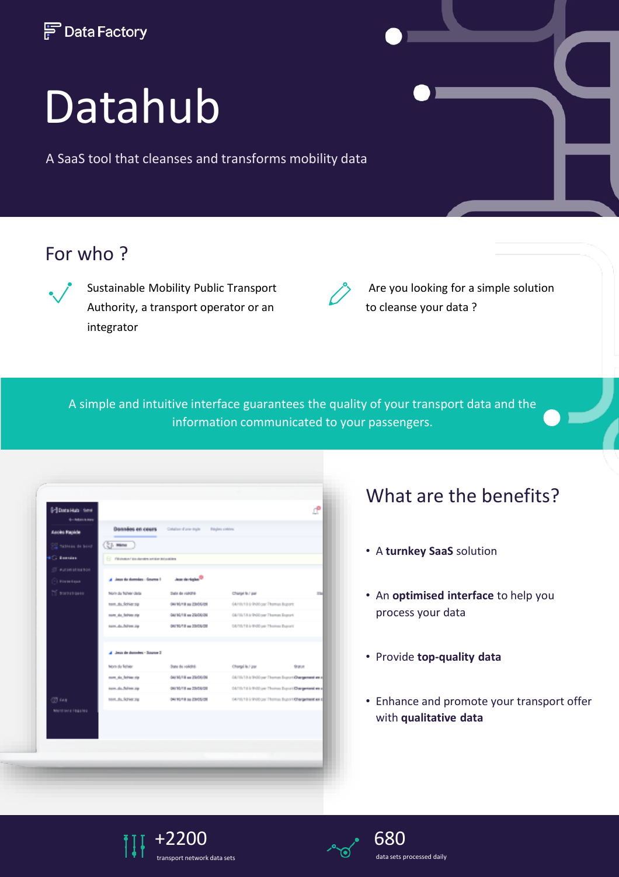

# Datahub

A SaaS tool that cleanses and transforms mobility data

## For who ?



Sustainable Mobility Public Transport Authority, a transport operator or an integrator



Are you looking for a simple solution to cleanse your data ?

A simple and intuitive interface guarantees the quality of your transport data and the information communicated to your passengers.

| <b>Planta Huts</b> Servi<br><b>6-Mai-kars</b> |                                                    |                                |                                                   | cP        |
|-----------------------------------------------|----------------------------------------------------|--------------------------------|---------------------------------------------------|-----------|
| <b>Accès Rapide</b>                           | <b>Données</b> en ceurs                            | Colation Core Agle             | <b>Régles</b> cohies                              |           |
| <b>Control of Home</b>                        | $(2)$ mm                                           |                                |                                                   |           |
| <b>C. Bonniers</b>                            | [1] Villabellin/Villabership and the Interdibility |                                |                                                   |           |
| <b>Automative Son</b><br>-1 Historiana        | A Jacob de domaios : Grome 1                       | James dan Anglan <sup>03</sup> |                                                   |           |
| <b>Si Statistica e</b>                        | North da Telheir della                             | Date de rozona                 | Change to J par                                   | <b>TM</b> |
|                                               | tom, the fielder sig-                              | Geradina su Eteódico           | 04/10/10 6:000 ppr Thomas Buport:                 |           |
|                                               | more dia faritasy dan                              | Ger 90/18 ex 20/06/06          | G&10/18.6/9400 ner Thomas Export                  |           |
|                                               | tom, do fullen Jip                                 | ON TO THINK CONDUCTS           | D&T/ILTE & WOO per Thomas Buyers'                 |           |
|                                               | A Jean de domains - Source 2                       |                                |                                                   |           |
|                                               | Nom du fichion                                     | Date de volcità.               | Chargel lo J par<br><b>Statut</b>                 |           |
|                                               | more also fastesan ela                             | Ger 90/18 au 20/06/06          | 04/01/18 a 9:00 per Thomas Export Changement as a |           |
|                                               | turn, da Adres Jap                                 | ON TO THE WA 20/04/28          | OUTS/TE-5-9100 per Thomas Export@hargement en a   |           |
| 03 mm                                         | term, the Schleening                               | DAYSON'S BU EROS/DE            | 04/10/10 L/POD por Thomas Bupon Chargement are it |           |
| Mentions (squire)                             |                                                    |                                |                                                   |           |
|                                               |                                                    |                                |                                                   |           |

## What are the benefits?

- A **turnkey SaaS** solution
- An **optimised interface** to help you process your data
- Provide **top-quality data**
- Enhance and promote your transport offer with **qualitative data**



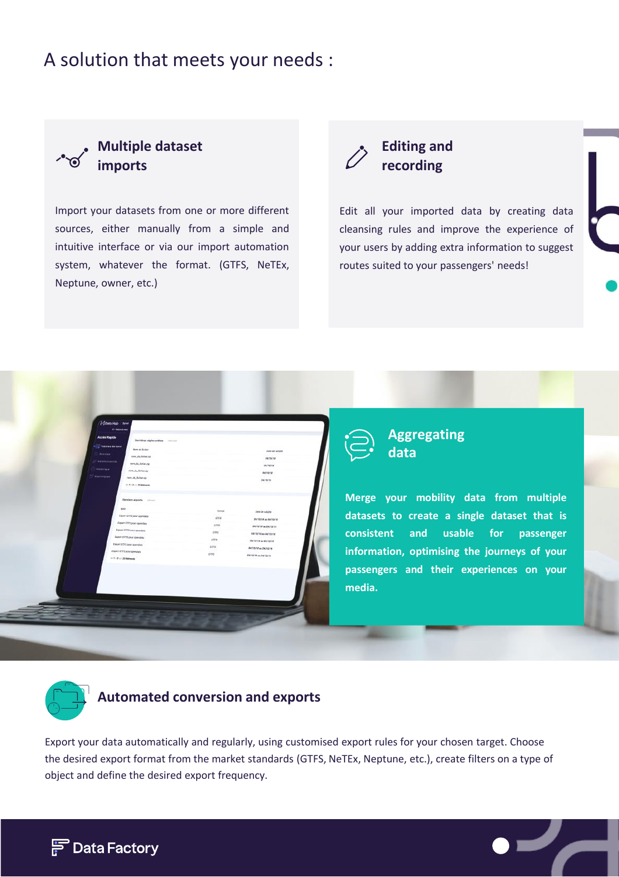## A solution that meets your needs :



Import your datasets from one or more different sources, either manually from a simple and intuitive interface or via our import automation system, whatever the format. (GTFS, NeTEx, Neptune, owner, etc.)



Edit all your imported data by creating data cleansing rules and improve the experience of your users by adding extra information to suggest routes suited to your passengers' needs!



**Aggregating data**

**Merge your mobility data from multiple datasets to create a single dataset that is consistent and usable for passenger information, optimising the journeys of your passengers and their experiences on your media.**



### **Automated conversion and exports**

Export your data automatically and regularly, using customised export rules for your chosen target. Choose the desired export format from the market standards (GTFS, NeTEx, Neptune, etc.), create filters on a type of object and define the desired export frequency.